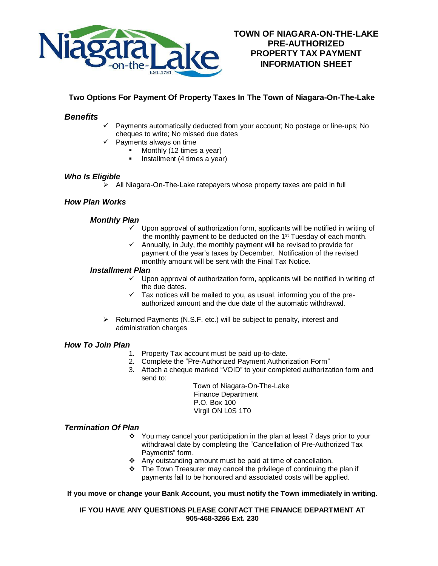

# **Two Options For Payment Of Property Taxes In The Town of Niagara-On-The-Lake**

## *Benefits*

- Payments automatically deducted from your account; No postage or line-ups; No cheques to write; No missed due dates
	- Payments always on time
		- Monthly (12 times a year)
			- Installment (4 times a year)

#### *Who Is Eligible*

➢ All Niagara-On-The-Lake ratepayers whose property taxes are paid in full

## *How Plan Works*

#### *Monthly Plan*

- $\checkmark$  Upon approval of authorization form, applicants will be notified in writing of the monthly payment to be deducted on the 1<sup>st</sup> Tuesday of each month.
- ✓ Annually, in July, the monthly payment will be revised to provide for payment of the year's taxes by December. Notification of the revised monthly amount will be sent with the Final Tax Notice.

#### *Installment Plan*

- ✓ Upon approval of authorization form, applicants will be notified in writing of the due dates.
- $\checkmark$  Tax notices will be mailed to you, as usual, informing you of the preauthorized amount and the due date of the automatic withdrawal.
- ➢ Returned Payments (N.S.F. etc.) will be subject to penalty, interest and administration charges

#### *How To Join Plan*

- 1. Property Tax account must be paid up-to-date.
- 2. Complete the "Pre-Authorized Payment Authorization Form"
- 3. Attach a cheque marked "VOID" to your completed authorization form and send to:

Town of Niagara-On-The-Lake Finance Department P.O. Box 100 Virgil ON L0S 1T0

#### *Termination Of Plan*

- ❖ You may cancel your participation in the plan at least 7 days prior to your withdrawal date by completing the "Cancellation of Pre-Authorized Tax Payments" form.
- ❖ Any outstanding amount must be paid at time of cancellation.
- ❖ The Town Treasurer may cancel the privilege of continuing the plan if payments fail to be honoured and associated costs will be applied.

#### **If you move or change your Bank Account, you must notify the Town immediately in writing.**

#### **IF YOU HAVE ANY QUESTIONS PLEASE CONTACT THE FINANCE DEPARTMENT AT 905-468-3266 Ext. 230**